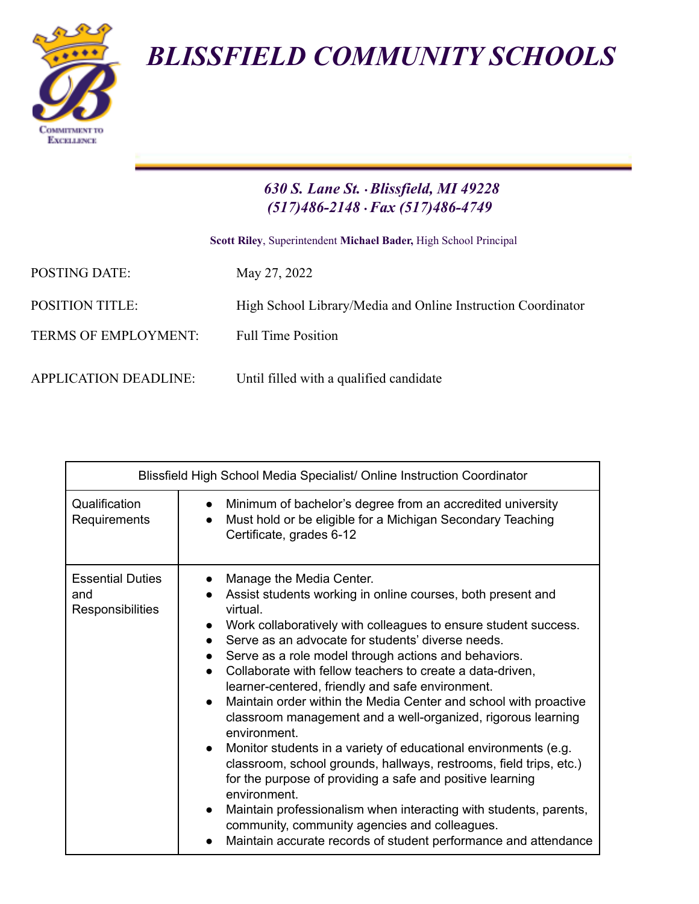*BLISSFIELD COMMUNITY SCHOOLS*



## *630 S. Lane St.* •*Blissfield, MI 49228 (517)486-2148* •*Fax (517)486-4749*

**Scott Riley**, Superintendent **Michael Bader,** High School Principal

| <b>POSTING DATE:</b>         | May 27, 2022                                                 |
|------------------------------|--------------------------------------------------------------|
| <b>POSITION TITLE:</b>       | High School Library/Media and Online Instruction Coordinator |
| <b>TERMS OF EMPLOYMENT:</b>  | <b>Full Time Position</b>                                    |
| <b>APPLICATION DEADLINE:</b> | Until filled with a qualified candidate                      |

| Blissfield High School Media Specialist/ Online Instruction Coordinator |                                                                                                                                                                                                                                                                                                                                                                                                                                                                                                                                                                                                                                                                                                                                                                                                                                                                                                                                                                                                                |
|-------------------------------------------------------------------------|----------------------------------------------------------------------------------------------------------------------------------------------------------------------------------------------------------------------------------------------------------------------------------------------------------------------------------------------------------------------------------------------------------------------------------------------------------------------------------------------------------------------------------------------------------------------------------------------------------------------------------------------------------------------------------------------------------------------------------------------------------------------------------------------------------------------------------------------------------------------------------------------------------------------------------------------------------------------------------------------------------------|
| Qualification<br>Requirements                                           | Minimum of bachelor's degree from an accredited university<br>$\bullet$<br>Must hold or be eligible for a Michigan Secondary Teaching<br>$\bullet$<br>Certificate, grades 6-12                                                                                                                                                                                                                                                                                                                                                                                                                                                                                                                                                                                                                                                                                                                                                                                                                                 |
| <b>Essential Duties</b><br>and<br><b>Responsibilities</b>               | Manage the Media Center.<br>Assist students working in online courses, both present and<br>virtual.<br>Work collaboratively with colleagues to ensure student success.<br>$\bullet$<br>Serve as an advocate for students' diverse needs.<br>Serve as a role model through actions and behaviors.<br>Collaborate with fellow teachers to create a data-driven,<br>learner-centered, friendly and safe environment.<br>Maintain order within the Media Center and school with proactive<br>$\bullet$<br>classroom management and a well-organized, rigorous learning<br>environment.<br>Monitor students in a variety of educational environments (e.g.<br>$\bullet$<br>classroom, school grounds, hallways, restrooms, field trips, etc.)<br>for the purpose of providing a safe and positive learning<br>environment.<br>Maintain professionalism when interacting with students, parents,<br>community, community agencies and colleagues.<br>Maintain accurate records of student performance and attendance |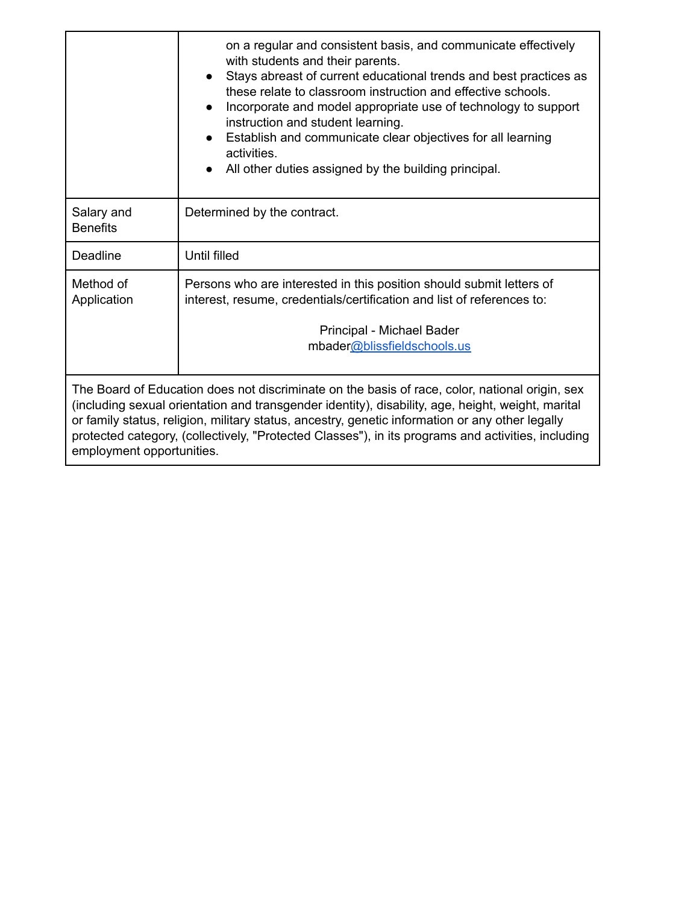|                                                                                                                                                                                                                                                                                                                                                                                                                                           | on a regular and consistent basis, and communicate effectively<br>with students and their parents.<br>Stays abreast of current educational trends and best practices as<br>these relate to classroom instruction and effective schools.<br>Incorporate and model appropriate use of technology to support<br>instruction and student learning.<br>Establish and communicate clear objectives for all learning<br>activities.<br>All other duties assigned by the building principal. |
|-------------------------------------------------------------------------------------------------------------------------------------------------------------------------------------------------------------------------------------------------------------------------------------------------------------------------------------------------------------------------------------------------------------------------------------------|--------------------------------------------------------------------------------------------------------------------------------------------------------------------------------------------------------------------------------------------------------------------------------------------------------------------------------------------------------------------------------------------------------------------------------------------------------------------------------------|
| Salary and<br><b>Benefits</b>                                                                                                                                                                                                                                                                                                                                                                                                             | Determined by the contract.                                                                                                                                                                                                                                                                                                                                                                                                                                                          |
| Deadline                                                                                                                                                                                                                                                                                                                                                                                                                                  | <b>Until filled</b>                                                                                                                                                                                                                                                                                                                                                                                                                                                                  |
| Method of<br>Application                                                                                                                                                                                                                                                                                                                                                                                                                  | Persons who are interested in this position should submit letters of<br>interest, resume, credentials/certification and list of references to:                                                                                                                                                                                                                                                                                                                                       |
|                                                                                                                                                                                                                                                                                                                                                                                                                                           | Principal - Michael Bader<br>mbader@blissfieldschools.us                                                                                                                                                                                                                                                                                                                                                                                                                             |
| The Board of Education does not discriminate on the basis of race, color, national origin, sex<br>(including sexual orientation and transgender identity), disability, age, height, weight, marital<br>or family status, religion, military status, ancestry, genetic information or any other legally<br>protected category, (collectively, "Protected Classes"), in its programs and activities, including<br>employment opportunities. |                                                                                                                                                                                                                                                                                                                                                                                                                                                                                      |